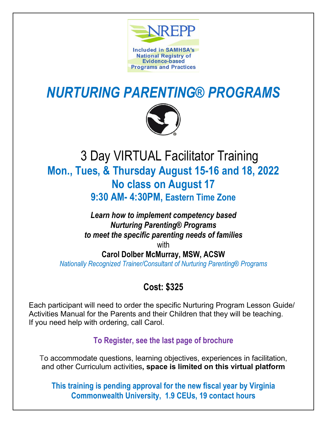

# *NURTURING PARENTING® PROGRAMS*



# 3 Day VIRTUAL Facilitator Training **Mon., Tues, & Thursday August 15-16 and 18, 2022 No class on August 17 9:30 AM- 4:30PM, Eastern Time Zone**

## *Learn how to implement competency based Nurturing Parenting® Programs to meet the specific parenting needs of families* with

# **Carol Dolber McMurray, MSW, ACSW**

*Nationally Recognized Trainer/Consultant of Nurturing Parenting® Programs*

# **Cost: \$325**

Each participant will need to order the specific Nurturing Program Lesson Guide/ Activities Manual for the Parents and their Children that they will be teaching. If you need help with ordering, call Carol.

# **To Register, see the last page of brochure**

To accommodate questions, learning objectives, experiences in facilitation, and other Curriculum activities**, space is limited on this virtual platform**

**This training is pending approval for the new fiscal year by Virginia Commonwealth University, 1.9 CEUs, 19 contact hours**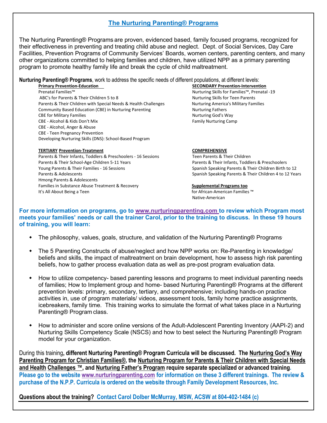### **The Nurturing Parenting® Programs**

The Nurturing Parenting® Programs are proven, evidenced based, family focused programs, recognized for their effectiveness in preventing and treating child abuse and neglect. Dept. of Social Services, Day Care Facilities, Prevention Programs of Community Services' Boards, women centers, parenting centers, and many other organizations committed to helping families and children, have utilized NPP as a primary parenting program to promote healthy family life and break the cycle of child maltreatment.

### **Nurturing Parenting® Programs**, work to address the specific needs of different populations, at different levels:

**Primary Prevention-Education SECONDARY Prevention-Intervention** 

Prenatal Families™ Nurturing Skills for Families™, Prenatal -19 ABC's for Parents & Their Children 5 to 8 Nurturing Skills for Teen Parents Parents & Their Children with Special Needs & Health Challenges Nurturing America's Military Families Community Based Education (CBE) in Nurturing Parenting Nurturing Nurturing Fathers CBE for Military Families Nurturing God's Way CBE - Alcohol & Kids Don't Mix Family Nurturing Camp CBE - Alcohol, Anger & Abuse CBE - Teen Pregnancy Prevention Developing Nurturing Skills (DNS): School-Based Program

#### **TERTIARY Prevention-Treatment COMPREHENSIVE**

Parents & Their Infants, Toddlers & Preschoolers - 16 Sessions Teen Parents & Their Children Parents & Their School-Age Children 5-11 Years Parents & Their Infants, Toddlers & Preschoolers Young Parents & Their Families - 16 Sessions Spanish Speaking Parents & Their Children Birth to 12 Parents & Adolescents **Spanish Speaking Parents & Their Children 4 to 12 Years** Spanish Speaking Parents & Their Children 4 to 12 Years Hmong Parents & Adolescents Families in Substance Abuse Treatment & Recovery **Supplemental Programs too** It's All About Being a Teen for African-American Families ™ for African-American Families ™

Native-American

**For more information on programs, go to [www.nurturingparenting.com](http://www.nurturingparenting.com/) to review which Program most meets your families' needs or call the trainer Carol, prior to the training to discuss. In these 19 hours of training, you will learn:**

- The philosophy, values, goals, structure, and validation of the Nurturing Parenting® Programs
- The 5 Parenting Constructs of abuse/neglect and how NPP works on: Re-Parenting in knowledge/ beliefs and skills, the impact of maltreatment on brain development, how to assess high risk parenting beliefs, how to gather process evaluation data as well as pre-post program evaluation data.
- How to utilize competency- based parenting lessons and programs to meet individual parenting needs of families; How to Implement group and home- based Nurturing Parenting® Programs at the different prevention levels: primary, secondary, tertiary, and comprehensive; including hands-on practice activities in, use of program materials/ videos, assessment tools, family home practice assignments, icebreakers, family time. This training works to simulate the format of what takes place in a Nurturing Parenting® Program class.
- How to administer and score online versions of the Adult-Adolescent Parenting Inventory (AAPI-2) and Nurturing Skills Competency Scale (NSCS) and how to best select the Nurturing Parenting® Program model for your organization.

During this training**, different Nurturing Parenting® Program Curricula will be discussed. The Nurturing God's Way Parenting Program for Christian Families®, the Nurturing Program for Parents & Their Children with Special Needs and Health Challenges ™, and Nurturing Father's Program require separate specialized or advanced training. Please go to the website [www.nurturingparenting.com](http://www.nurturingparenting.com/) for information on these 3 different trainings. The review & purchase of the N.P.P. Curricula is ordered on the website through Family Development Resources, Inc.** 

**Questions about the training? Contact Carol Dolber McMurray, MSW, ACSW at 804-402-1484 (c)**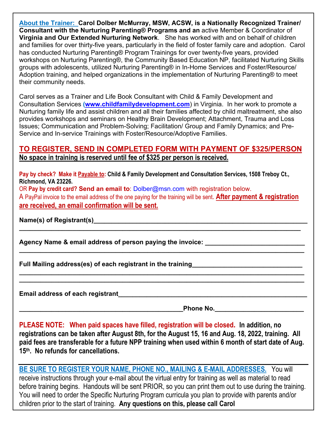**About the Trainer: Carol Dolber McMurray, MSW, ACSW, is a Nationally Recognized Trainer/ Consultant with the Nurturing Parenting® Programs and an** active Member & Coordinator of **Virginia and Our Extended Nurturing Network**. She has worked with and on behalf of children and families for over thirty-five years, particularly in the field of foster family care and adoption. Carol has conducted Nurturing Parenting® Program Trainings for over twenty-five years, provided workshops on Nurturing Parenting®, the Community Based Education NP, facilitated Nurturing Skills groups with adolescents, utilized Nurturing Parenting® in In-Home Services and Foster/Resource/ Adoption training, and helped organizations in the implementation of Nurturing Parenting® to meet their community needs.

Carol serves as a Trainer and Life Book Consultant with Child & Family Development and Consultation Services **[\(www.childfamilydevelopment.com](http://www.childfamilydevelopment.com/)**) in Virginia. In her work to promote a Nurturing family life and assist children and all their families affected by child maltreatment, she also provides workshops and seminars on Healthy Brain Development; Attachment, Trauma and Loss Issues; Communication and Problem-Solving; Facilitation/ Group and Family Dynamics; and Pre-Service and In-service Trainings with Foster/Resource/Adoptive Families.

## **TO REGISTER, SEND IN COMPLETED FORM WITH PAYMENT OF \$325/PERSON No space in training is reserved until fee of \$325 per person is received.**

**Pay by check? Make it Payable to: Child & Family Development and Consultation Services, 1508 Treboy Ct., Richmond, VA 23226.** 

OR **Pay by credit card? Send an email to**: [Dolber@msn.com](mailto:Dolber@msn.com) with registration below.

A PayPal invoice to the email address of the one paying for the training will be sent. **After payment & registration are received, an email confirmation will be sent.**

**\_\_\_\_\_\_\_\_\_\_\_\_\_\_\_\_\_\_\_\_\_\_\_\_\_\_\_\_\_\_\_\_\_\_\_\_\_\_\_\_\_\_\_\_\_\_\_\_\_\_\_\_\_\_\_\_\_\_\_\_\_\_\_\_\_\_\_\_\_\_\_\_\_\_\_\_\_\_\_**

**\_\_\_\_\_\_\_\_\_\_\_\_\_\_\_\_\_\_\_\_\_\_\_\_\_\_\_\_\_\_\_\_\_\_\_\_\_\_\_\_\_\_\_\_\_\_\_\_\_\_\_\_\_\_\_\_\_\_\_\_\_\_\_\_\_\_\_\_\_\_\_\_\_\_\_\_\_\_\_\_**

**\_\_\_\_\_\_\_\_\_\_\_\_\_\_\_\_\_\_\_\_\_\_\_\_\_\_\_\_\_\_\_\_\_\_\_\_\_\_\_\_\_\_\_\_\_\_\_\_\_\_\_\_\_\_\_\_\_\_\_\_\_\_\_\_\_\_\_\_\_\_\_\_\_\_\_\_\_\_\_\_ \_\_\_\_\_\_\_\_\_\_\_\_\_\_\_\_\_\_\_\_\_\_\_\_\_\_\_\_\_\_\_\_\_\_\_\_\_\_\_\_\_\_\_\_\_\_\_\_\_\_\_\_\_\_\_\_\_\_\_\_\_\_\_\_\_\_\_\_\_\_\_\_\_\_\_\_\_\_\_\_**

Name(s) of Registrant(s) **Name** (s) **Name** (s) **Name** (s) **Name** (s) **Name** (s) **Name** (s) **Name** (s) **Name** (s) **Name** (s) **Name** (s) **Name** (s) **Name** (s) **Name** (s) **Name** (s) **Name** (s) **Name** (s) **Name** (s) **Name** (s)

**Agency Name & email address of person paying the invoice: \_\_\_\_\_\_\_\_\_\_\_\_\_\_\_\_\_\_\_\_\_\_\_\_\_\_\_\_**

**Full Mailing address(es) of each registrant in the training\_\_\_\_\_\_\_\_\_\_\_\_\_\_\_\_\_\_\_\_\_\_\_\_\_\_\_\_\_\_\_**

**Email address of each registrant\_\_\_\_\_\_\_\_\_\_\_\_\_\_\_\_\_\_\_\_\_\_\_\_\_\_\_\_\_\_\_\_\_\_\_\_\_\_\_\_\_\_\_\_\_\_\_\_\_\_\_\_\_**

**Phone No. Letter the set of the set of the set of the set of the set of the set of the set of the set of the set of the set of the set of the set of the set of the set of the set of the set of the set of the set of the** 

**PLEASE NOTE: When paid spaces have filled, registration will be closed. In addition, no registrations can be taken after August 8th, for the August 15, 16 and Aug. 18, 2022, training. All paid fees are transferable for a future NPP training when used within 6 month of start date of Aug. 15th. No refunds for cancellations.** 

**BE SURE TO REGISTER YOUR NAME, PHONE NO., MAILING & E-MAIL ADDRESSES.** You will receive instructions through your e-mail about the virtual entry for training as well as material to read before training begins. Handouts will be sent PRIOR, so you can print them out to use during the training. You will need to order the Specific Nurturing Program curricula you plan to provide with parents and/or children prior to the start of training. **Any questions on this, please call Carol**